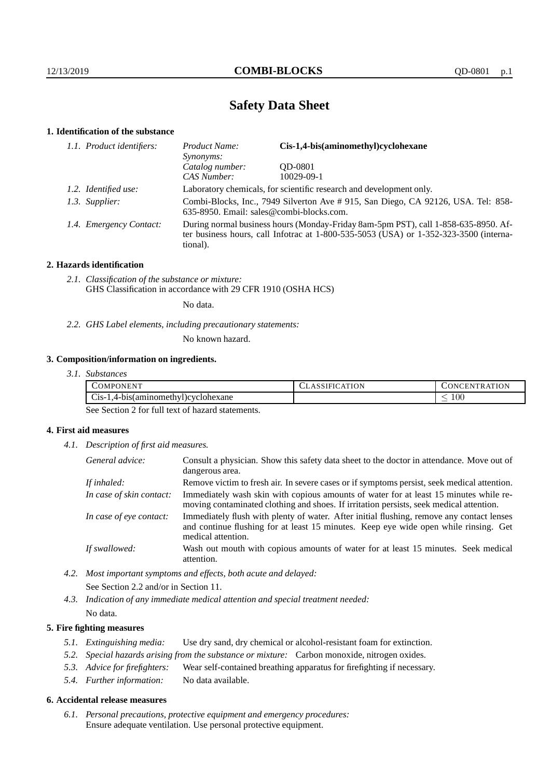# **Safety Data Sheet**

# **1. Identification of the substance**

| 1.1. Product identifiers: | Cis-1,4-bis(aminomethyl)cyclohexane<br>Product Name:<br>Synonyms:                                                                                                                       |            |
|---------------------------|-----------------------------------------------------------------------------------------------------------------------------------------------------------------------------------------|------------|
|                           | Catalog number:                                                                                                                                                                         | OD-0801    |
|                           | CAS Number:                                                                                                                                                                             | 10029-09-1 |
| 1.2. Identified use:      | Laboratory chemicals, for scientific research and development only.                                                                                                                     |            |
| 1.3. Supplier:            | Combi-Blocks, Inc., 7949 Silverton Ave #915, San Diego, CA 92126, USA. Tel: 858-<br>635-8950. Email: sales@combi-blocks.com.                                                            |            |
| 1.4. Emergency Contact:   | During normal business hours (Monday-Friday 8am-5pm PST), call 1-858-635-8950. Af-<br>ter business hours, call Infotrac at 1-800-535-5053 (USA) or 1-352-323-3500 (interna-<br>tional). |            |

# **2. Hazards identification**

*2.1. Classification of the substance or mixture:* GHS Classification in accordance with 29 CFR 1910 (OSHA HCS)

No data.

*2.2. GHS Label elements, including precautionary statements:*

No known hazard.

# **3. Composition/information on ingredients.**

| 3.1. Substances |
|-----------------|
|                 |

| $\cdot$ $\cdot$<br>.)MPO<br>'NL<br>1 N H                 | <b>TION</b><br>$\Delta$ | <b>INI</b><br>.                     |
|----------------------------------------------------------|-------------------------|-------------------------------------|
| ~·<br>aminomethy).<br>Develohexane<br>-1S-<br>$-4$ -bist |                         | $100\,$<br>$\overline{\phantom{a}}$ |

See Section 2 for full text of hazard statements.

# **4. First aid measures**

*4.1. Description of first aid measures.*

| General advice:          | Consult a physician. Show this safety data sheet to the doctor in attendance. Move out of<br>dangerous area.                                                                                            |
|--------------------------|---------------------------------------------------------------------------------------------------------------------------------------------------------------------------------------------------------|
| If inhaled:              | Remove victim to fresh air. In severe cases or if symptoms persist, seek medical attention.                                                                                                             |
| In case of skin contact: | Immediately wash skin with copious amounts of water for at least 15 minutes while re-<br>moving contaminated clothing and shoes. If irritation persists, seek medical attention.                        |
| In case of eye contact:  | Immediately flush with plenty of water. After initial flushing, remove any contact lenses<br>and continue flushing for at least 15 minutes. Keep eye wide open while rinsing. Get<br>medical attention. |
| If swallowed:            | Wash out mouth with copious amounts of water for at least 15 minutes. Seek medical<br>attention.                                                                                                        |

- *4.2. Most important symptoms and effects, both acute and delayed:* See Section 2.2 and/or in Section 11.
- *4.3. Indication of any immediate medical attention and special treatment needed:* No data.

# **5. Fire fighting measures**

- *5.1. Extinguishing media:* Use dry sand, dry chemical or alcohol-resistant foam for extinction.
- *5.2. Special hazards arising from the substance or mixture:* Carbon monoxide, nitrogen oxides.
- *5.3. Advice for firefighters:* Wear self-contained breathing apparatus for firefighting if necessary.
- *5.4. Further information:* No data available.

## **6. Accidental release measures**

*6.1. Personal precautions, protective equipment and emergency procedures:* Ensure adequate ventilation. Use personal protective equipment.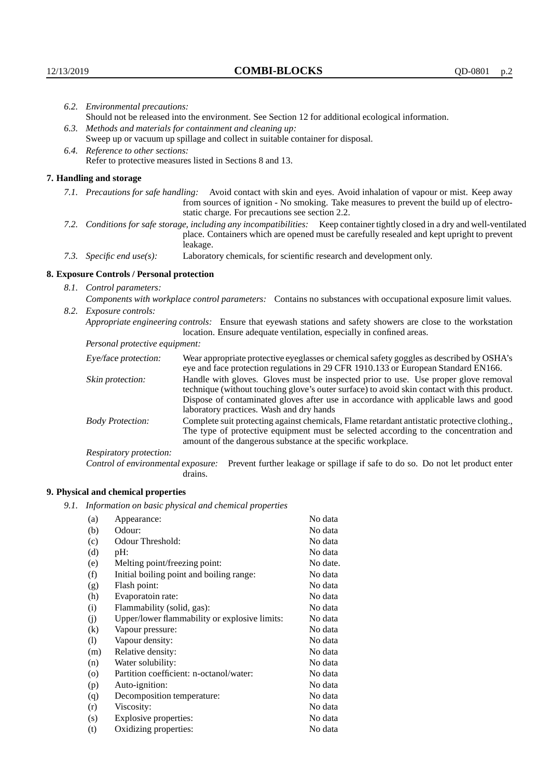| 6.2. Environmental precautions:                                                                                                                                                                                                        |                                                                                                                                                                                                                                                                                                                        |  |  |  |
|----------------------------------------------------------------------------------------------------------------------------------------------------------------------------------------------------------------------------------------|------------------------------------------------------------------------------------------------------------------------------------------------------------------------------------------------------------------------------------------------------------------------------------------------------------------------|--|--|--|
| Should not be released into the environment. See Section 12 for additional ecological information.                                                                                                                                     |                                                                                                                                                                                                                                                                                                                        |  |  |  |
| 6.3. Methods and materials for containment and cleaning up:                                                                                                                                                                            |                                                                                                                                                                                                                                                                                                                        |  |  |  |
| Sweep up or vacuum up spillage and collect in suitable container for disposal.                                                                                                                                                         |                                                                                                                                                                                                                                                                                                                        |  |  |  |
| 6.4. Reference to other sections:                                                                                                                                                                                                      |                                                                                                                                                                                                                                                                                                                        |  |  |  |
| Refer to protective measures listed in Sections 8 and 13.                                                                                                                                                                              |                                                                                                                                                                                                                                                                                                                        |  |  |  |
| 7. Handling and storage                                                                                                                                                                                                                |                                                                                                                                                                                                                                                                                                                        |  |  |  |
|                                                                                                                                                                                                                                        | 7.1. Precautions for safe handling: Avoid contact with skin and eyes. Avoid inhalation of vapour or mist. Keep away<br>from sources of ignition - No smoking. Take measures to prevent the build up of electro-<br>static charge. For precautions see section 2.2.                                                     |  |  |  |
| 7.2. Conditions for safe storage, including any incompatibilities: Keep container tightly closed in a dry and well-ventilated<br>place. Containers which are opened must be carefully resealed and kept upright to prevent<br>leakage. |                                                                                                                                                                                                                                                                                                                        |  |  |  |
| 7.3. Specific end use(s):                                                                                                                                                                                                              | Laboratory chemicals, for scientific research and development only.                                                                                                                                                                                                                                                    |  |  |  |
| 8. Exposure Controls / Personal protection                                                                                                                                                                                             |                                                                                                                                                                                                                                                                                                                        |  |  |  |
| 8.1. Control parameters:                                                                                                                                                                                                               |                                                                                                                                                                                                                                                                                                                        |  |  |  |
|                                                                                                                                                                                                                                        | Components with workplace control parameters: Contains no substances with occupational exposure limit values.                                                                                                                                                                                                          |  |  |  |
| 8.2. Exposure controls:                                                                                                                                                                                                                |                                                                                                                                                                                                                                                                                                                        |  |  |  |
|                                                                                                                                                                                                                                        | Appropriate engineering controls: Ensure that eyewash stations and safety showers are close to the workstation                                                                                                                                                                                                         |  |  |  |
|                                                                                                                                                                                                                                        | location. Ensure adequate ventilation, especially in confined areas.                                                                                                                                                                                                                                                   |  |  |  |
| Personal protective equipment:                                                                                                                                                                                                         |                                                                                                                                                                                                                                                                                                                        |  |  |  |
| Eye/face protection:                                                                                                                                                                                                                   | Wear appropriate protective eyeglasses or chemical safety goggles as described by OSHA's<br>eye and face protection regulations in 29 CFR 1910.133 or European Standard EN166.                                                                                                                                         |  |  |  |
| Skin protection:                                                                                                                                                                                                                       | Handle with gloves. Gloves must be inspected prior to use. Use proper glove removal<br>technique (without touching glove's outer surface) to avoid skin contact with this product.<br>Dispose of contaminated gloves after use in accordance with applicable laws and good<br>laboratory practices. Wash and dry hands |  |  |  |
| <b>Body Protection:</b>                                                                                                                                                                                                                | Complete suit protecting against chemicals, Flame retardant antistatic protective clothing.,<br>The type of protective equipment must be selected according to the concentration and<br>amount of the dangerous substance at the specific workplace.                                                                   |  |  |  |
| Respiratory protection:                                                                                                                                                                                                                |                                                                                                                                                                                                                                                                                                                        |  |  |  |

Respiratory protection:

Control of environmental exposure: Prevent further leakage or spillage if safe to do so. Do not let product enter drains.

# **9. Physical and chemical properties**

*9.1. Information on basic physical and chemical properties*

| (a)                        | Appearance:                                   | No data  |
|----------------------------|-----------------------------------------------|----------|
| (b)                        | Odour:                                        | No data  |
| (c)                        | Odour Threshold:                              | No data  |
| (d)                        | pH:                                           | No data  |
| (e)                        | Melting point/freezing point:                 | No date. |
| (f)                        | Initial boiling point and boiling range:      | No data  |
| (g)                        | Flash point:                                  | No data  |
| (h)                        | Evaporatoin rate:                             | No data  |
| (i)                        | Flammability (solid, gas):                    | No data  |
| (j)                        | Upper/lower flammability or explosive limits: | No data  |
| $\rm(k)$                   | Vapour pressure:                              | No data  |
| $\left( \mathrm{l}\right)$ | Vapour density:                               | No data  |
| (m)                        | Relative density:                             | No data  |
| (n)                        | Water solubility:                             | No data  |
| $\circ$                    | Partition coefficient: n-octanol/water:       | No data  |
| (p)                        | Auto-ignition:                                | No data  |
| (q)                        | Decomposition temperature:                    | No data  |
| (r)                        | Viscosity:                                    | No data  |
| (s)                        | Explosive properties:                         | No data  |
| (t)                        | Oxidizing properties:                         | No data  |